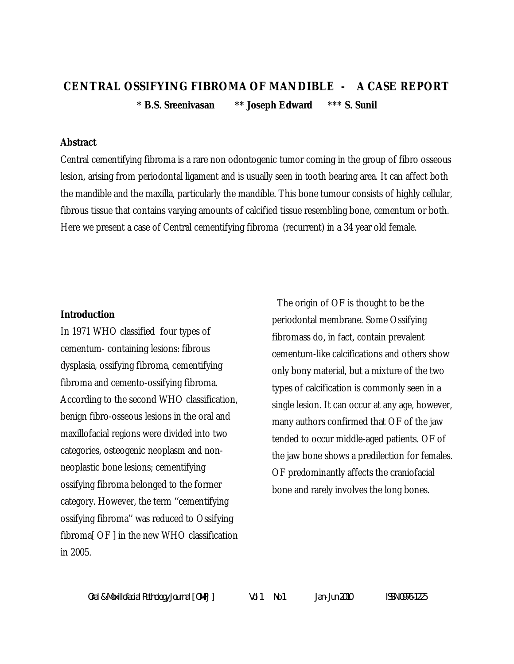# **CENTRAL OSSIFYING FIBROMA OF MANDIBLE - A CASE REPORT \* B.S. Sreenivasan \*\* Joseph Edward \*\*\* S. Sunil**

## **Abstract**

Central cementifying fibroma is a rare non odontogenic tumor coming in the group of fibro osseous lesion, arising from periodontal ligament and is usually seen in tooth bearing area. It can affect both the mandible and the maxilla, particularly the mandible. This bone tumour consists of highly cellular, fibrous tissue that contains varying amounts of calcified tissue resembling bone, cementum or both. Here we present a case of Central cementifying fibroma (recurrent) in a 34 year old female.

#### **Introduction**

In 1971 WHO classified four types of cementum- containing lesions: fibrous dysplasia, ossifying fibroma, cementifying fibroma and cemento-ossifying fibroma. According to the second WHO classification, benign fibro-osseous lesions in the oral and maxillofacial regions were divided into two categories, osteogenic neoplasm and nonneoplastic bone lesions; cementifying ossifying fibroma belonged to the former category. However, the term ''cementifying ossifying fibroma'' was reduced to Ossifying fibroma[ OF ] in the new WHO classification in 2005.

 The origin of OF is thought to be the periodontal membrane. Some Ossifying fibromass do, in fact, contain prevalent cementum-like calcifications and others show only bony material, but a mixture of the two types of calcification is commonly seen in a single lesion. It can occur at any age, however, many authors confirmed that OF of the jaw tended to occur middle-aged patients. OF of the jaw bone shows a predilection for females. OF predominantly affects the craniofacial bone and rarely involves the long bones.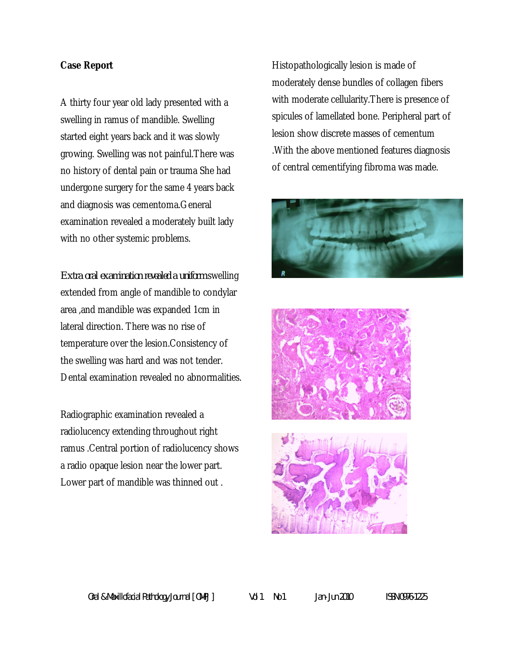## **Case Report**

A thirty four year old lady presented with a swelling in ramus of mandible. Swelling started eight years back and it was slowly growing. Swelling was not painful.There was no history of dental pain or trauma She had undergone surgery for the same 4 years back and diagnosis was cementoma.General examination revealed a moderately built lady with no other systemic problems.

*Extra oral examination revealed a uniform* swelling extended from angle of mandible to condylar area ,and mandible was expanded 1cm in lateral direction. There was no rise of temperature over the lesion.Consistency of the swelling was hard and was not tender. Dental examination revealed no abnormalities.

Radiographic examination revealed a radiolucency extending throughout right ramus .Central portion of radiolucency shows a radio opaque lesion near the lower part. Lower part of mandible was thinned out .

Histopathologically lesion is made of moderately dense bundles of collagen fibers with moderate cellularity.There is presence of spicules of lamellated bone. Peripheral part of lesion show discrete masses of cementum .With the above mentioned features diagnosis of central cementifying fibroma was made.





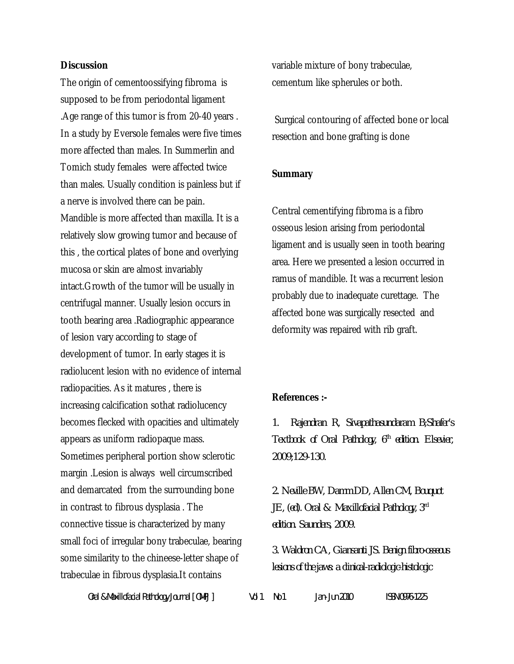## **Discussion**

The origin of cementoossifying fibroma is supposed to be from periodontal ligament .Age range of this tumor is from 20-40 years . In a study by Eversole females were five times more affected than males. In Summerlin and Tomich study females were affected twice than males. Usually condition is painless but if a nerve is involved there can be pain. Mandible is more affected than maxilla. It is a relatively slow growing tumor and because of this , the cortical plates of bone and overlying mucosa or skin are almost invariably intact.Growth of the tumor will be usually in centrifugal manner. Usually lesion occurs in tooth bearing area .Radiographic appearance of lesion vary according to stage of development of tumor. In early stages it is radiolucent lesion with no evidence of internal radiopacities. As it matures , there is increasing calcification sothat radiolucency becomes flecked with opacities and ultimately appears as uniform radiopaque mass. Sometimes peripheral portion show sclerotic margin .Lesion is always well circumscribed and demarcated from the surrounding bone in contrast to fibrous dysplasia . The connective tissue is characterized by many small foci of irregular bony trabeculae, bearing some similarity to the chineese-letter shape of trabeculae in fibrous dysplasia.It contains

variable mixture of bony trabeculae, cementum like spherules or both.

Surgical contouring of affected bone or local resection and bone grafting is done

#### **Summary**

Central cementifying fibroma is a fibro osseous lesion arising from periodontal ligament and is usually seen in tooth bearing area. Here we presented a lesion occurred in ramus of mandible. It was a recurrent lesion probably due to inadequate curettage. The affected bone was surgically resected and deformity was repaired with rib graft.

#### **References :-**

*1. Rajendran R, Sivapathasundaram B;Shafer's Textbook of Oral Pathology, 6th edition. Elsevier, 2009;129-130.*

*2. Neville BW, Damm DD, Allen CM, Bouquot JE, (ed). Oral & Maxillofacial Pathology, 3rd edition. Saunders, 2009.*

*3. Waldron CA, Giansanti JS. Benign fibro-osseous lesions of the jaws: a clinical-radiologic-histologic* 

*Oral & Maxillofacial Pathology Journal [ OMPJ ] Vol 1 No 1 Jan- Jun 2010 ISSN 0976-1225*